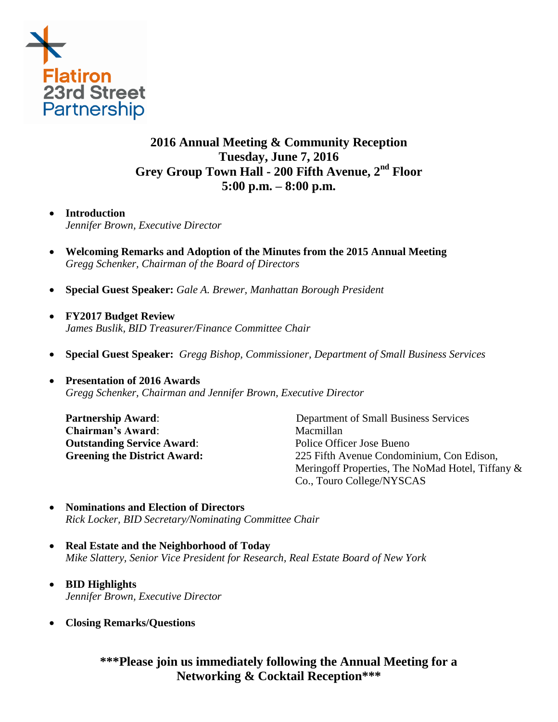

# **2016 Annual Meeting & Community Reception Tuesday, June 7, 2016 Grey Group Town Hall - 200 Fifth Avenue, 2nd Floor 5:00 p.m. – 8:00 p.m.**

### **Introduction**

*Jennifer Brown, Executive Director* 

- **Welcoming Remarks and Adoption of the Minutes from the 2015 Annual Meeting** *Gregg Schenker, Chairman of the Board of Directors*
- **Special Guest Speaker:** *Gale A. Brewer, Manhattan Borough President*
- **FY2017 Budget Review**  *James Buslik, BID Treasurer/Finance Committee Chair*
- **Special Guest Speaker:** *Gregg Bishop, Commissioner, Department of Small Business Services*

# **Presentation of 2016 Awards**  *Gregg Schenker, Chairman and Jennifer Brown, Executive Director*

**Chairman's Award:** Macmillan **Outstanding Service Award:** Police Officer Jose Bueno

**Partnership Award:** Department of Small Business Services **Greening the District Award:** 225 Fifth Avenue Condominium, Con Edison, Meringoff Properties, The NoMad Hotel, Tiffany & Co., Touro College/NYSCAS

- **Nominations and Election of Directors**  *Rick Locker, BID Secretary/Nominating Committee Chair*
- **Real Estate and the Neighborhood of Today** *Mike Slattery, Senior Vice President for Research, Real Estate Board of New York*
- **BID Highlights** *Jennifer Brown, Executive Director*
- **Closing Remarks/Questions**

# **\*\*\*Please join us immediately following the Annual Meeting for a Networking & Cocktail Reception\*\*\***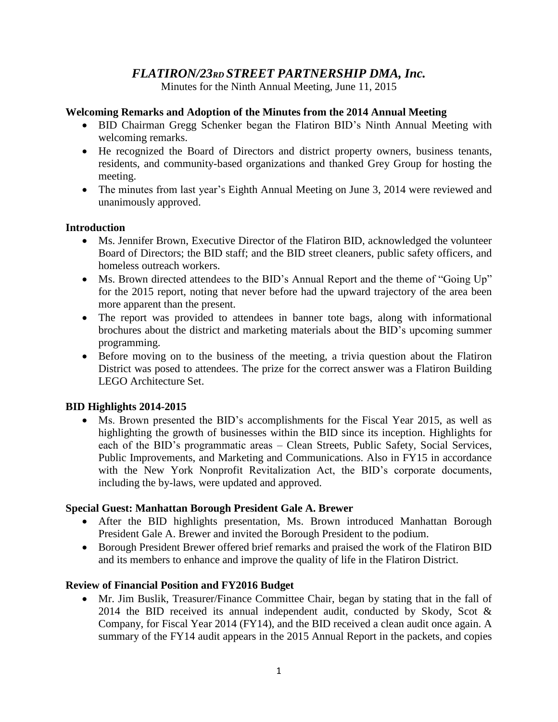# *FLATIRON/23RD STREET PARTNERSHIP DMA, Inc.*

Minutes for the Ninth Annual Meeting, June 11, 2015

# **Welcoming Remarks and Adoption of the Minutes from the 2014 Annual Meeting**

- BID Chairman Gregg Schenker began the Flatiron BID's Ninth Annual Meeting with welcoming remarks.
- He recognized the Board of Directors and district property owners, business tenants, residents, and community-based organizations and thanked Grey Group for hosting the meeting.
- The minutes from last year's Eighth Annual Meeting on June 3, 2014 were reviewed and unanimously approved.

### **Introduction**

- Ms. Jennifer Brown, Executive Director of the Flatiron BID, acknowledged the volunteer Board of Directors; the BID staff; and the BID street cleaners, public safety officers, and homeless outreach workers.
- Ms. Brown directed attendees to the BID's Annual Report and the theme of "Going Up" for the 2015 report, noting that never before had the upward trajectory of the area been more apparent than the present.
- The report was provided to attendees in banner tote bags, along with informational brochures about the district and marketing materials about the BID's upcoming summer programming.
- Before moving on to the business of the meeting, a trivia question about the Flatiron District was posed to attendees. The prize for the correct answer was a Flatiron Building LEGO Architecture Set.

# **BID Highlights 2014-2015**

 Ms. Brown presented the BID's accomplishments for the Fiscal Year 2015, as well as highlighting the growth of businesses within the BID since its inception. Highlights for each of the BID's programmatic areas – Clean Streets, Public Safety, Social Services, Public Improvements, and Marketing and Communications. Also in FY15 in accordance with the New York Nonprofit Revitalization Act, the BID's corporate documents, including the by-laws, were updated and approved.

# **Special Guest: Manhattan Borough President Gale A. Brewer**

- After the BID highlights presentation, Ms. Brown introduced Manhattan Borough President Gale A. Brewer and invited the Borough President to the podium.
- Borough President Brewer offered brief remarks and praised the work of the Flatiron BID and its members to enhance and improve the quality of life in the Flatiron District.

# **Review of Financial Position and FY2016 Budget**

• Mr. Jim Buslik, Treasurer/Finance Committee Chair, began by stating that in the fall of 2014 the BID received its annual independent audit, conducted by Skody, Scot & Company, for Fiscal Year 2014 (FY14), and the BID received a clean audit once again. A summary of the FY14 audit appears in the 2015 Annual Report in the packets, and copies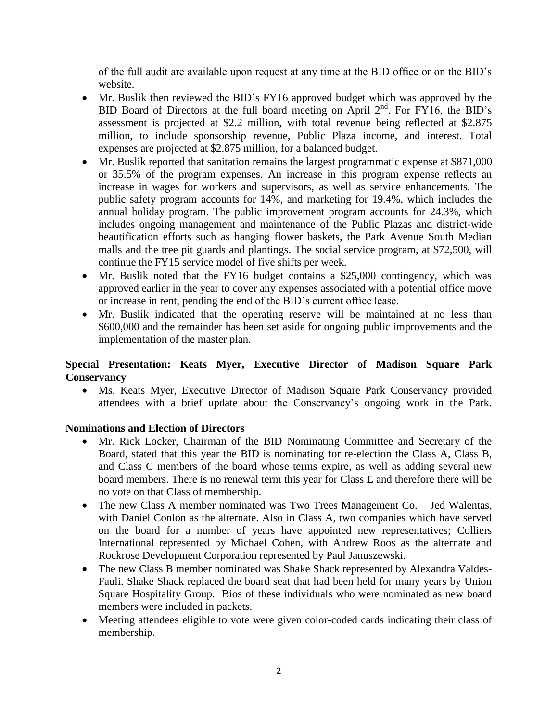of the full audit are available upon request at any time at the BID office or on the BID's website.

- Mr. Buslik then reviewed the BID's FY16 approved budget which was approved by the BID Board of Directors at the full board meeting on April  $2<sup>nd</sup>$ . For FY16, the BID's assessment is projected at \$2.2 million, with total revenue being reflected at \$2.875 million, to include sponsorship revenue, Public Plaza income, and interest. Total expenses are projected at \$2.875 million, for a balanced budget.
- Mr. Buslik reported that sanitation remains the largest programmatic expense at \$871,000 or 35.5% of the program expenses. An increase in this program expense reflects an increase in wages for workers and supervisors, as well as service enhancements. The public safety program accounts for 14%, and marketing for 19.4%, which includes the annual holiday program. The public improvement program accounts for 24.3%, which includes ongoing management and maintenance of the Public Plazas and district-wide beautification efforts such as hanging flower baskets, the Park Avenue South Median malls and the tree pit guards and plantings. The social service program, at \$72,500, will continue the FY15 service model of five shifts per week.
- Mr. Buslik noted that the FY16 budget contains a \$25,000 contingency, which was approved earlier in the year to cover any expenses associated with a potential office move or increase in rent, pending the end of the BID's current office lease.
- Mr. Buslik indicated that the operating reserve will be maintained at no less than \$600,000 and the remainder has been set aside for ongoing public improvements and the implementation of the master plan.

# **Special Presentation: Keats Myer, Executive Director of Madison Square Park Conservancy**

 Ms. Keats Myer, Executive Director of Madison Square Park Conservancy provided attendees with a brief update about the Conservancy's ongoing work in the Park.

# **Nominations and Election of Directors**

- Mr. Rick Locker, Chairman of the BID Nominating Committee and Secretary of the Board, stated that this year the BID is nominating for re-election the Class A, Class B, and Class C members of the board whose terms expire, as well as adding several new board members. There is no renewal term this year for Class E and therefore there will be no vote on that Class of membership.
- The new Class A member nominated was Two Trees Management Co. Jed Walentas, with Daniel Conlon as the alternate. Also in Class A, two companies which have served on the board for a number of years have appointed new representatives; Colliers International represented by Michael Cohen, with Andrew Roos as the alternate and Rockrose Development Corporation represented by Paul Januszewski.
- The new Class B member nominated was Shake Shack represented by Alexandra Valdes-Fauli. Shake Shack replaced the board seat that had been held for many years by Union Square Hospitality Group. Bios of these individuals who were nominated as new board members were included in packets.
- Meeting attendees eligible to vote were given color-coded cards indicating their class of membership.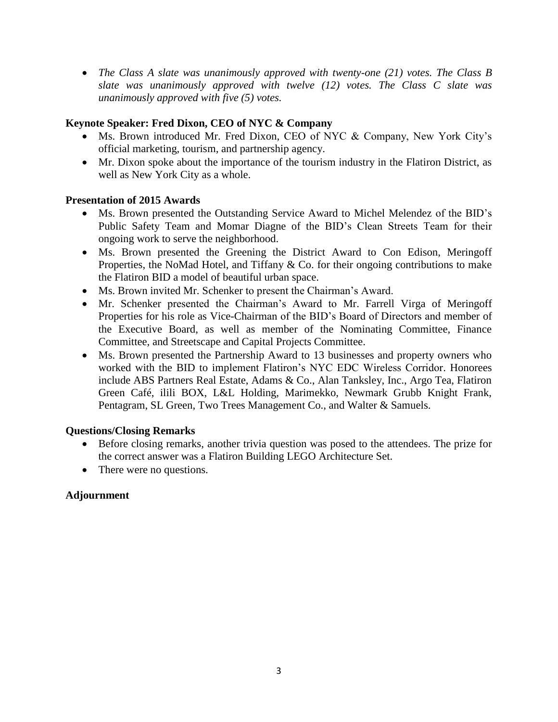*The Class A slate was unanimously approved with twenty-one (21) votes. The Class B slate was unanimously approved with twelve (12) votes. The Class C slate was unanimously approved with five (5) votes.*

# **Keynote Speaker: Fred Dixon, CEO of NYC & Company**

- Ms. Brown introduced Mr. Fred Dixon, CEO of NYC & Company, New York City's official marketing, tourism, and partnership agency.
- Mr. Dixon spoke about the importance of the tourism industry in the Flatiron District, as well as New York City as a whole.

# **Presentation of 2015 Awards**

- Ms. Brown presented the Outstanding Service Award to Michel Melendez of the BID's Public Safety Team and Momar Diagne of the BID's Clean Streets Team for their ongoing work to serve the neighborhood.
- Ms. Brown presented the Greening the District Award to Con Edison, Meringoff Properties, the NoMad Hotel, and Tiffany & Co. for their ongoing contributions to make the Flatiron BID a model of beautiful urban space.
- Ms. Brown invited Mr. Schenker to present the Chairman's Award.
- Mr. Schenker presented the Chairman's Award to Mr. Farrell Virga of Meringoff Properties for his role as Vice-Chairman of the BID's Board of Directors and member of the Executive Board, as well as member of the Nominating Committee, Finance Committee, and Streetscape and Capital Projects Committee.
- Ms. Brown presented the Partnership Award to 13 businesses and property owners who worked with the BID to implement Flatiron's NYC EDC Wireless Corridor. Honorees include ABS Partners Real Estate, Adams & Co., Alan Tanksley, Inc., Argo Tea, Flatiron Green Café, ilili BOX, L&L Holding, Marimekko, Newmark Grubb Knight Frank, Pentagram, SL Green, Two Trees Management Co., and Walter & Samuels.

# **Questions/Closing Remarks**

- Before closing remarks, another trivia question was posed to the attendees. The prize for the correct answer was a Flatiron Building LEGO Architecture Set.
- There were no questions.

# **Adjournment**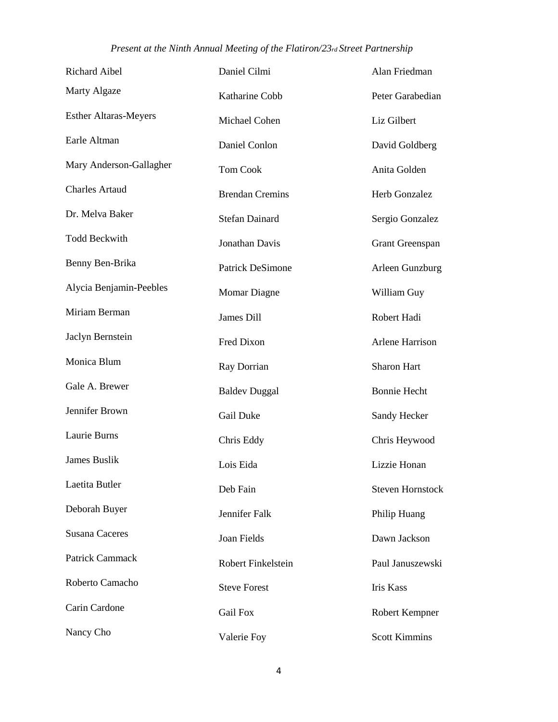# *Present at the Ninth Annual Meeting of the Flatiron/23rd Street Partnership*

| Richard Aibel                | Daniel Cilmi           | Alan Friedman           |
|------------------------------|------------------------|-------------------------|
| Marty Algaze                 | Katharine Cobb         | Peter Garabedian        |
| <b>Esther Altaras-Meyers</b> | Michael Cohen          | Liz Gilbert             |
| Earle Altman                 | Daniel Conlon          | David Goldberg          |
| Mary Anderson-Gallagher      | <b>Tom Cook</b>        | Anita Golden            |
| <b>Charles Artaud</b>        | <b>Brendan Cremins</b> | Herb Gonzalez           |
| Dr. Melva Baker              | <b>Stefan Dainard</b>  | Sergio Gonzalez         |
| <b>Todd Beckwith</b>         | Jonathan Davis         | <b>Grant Greenspan</b>  |
| Benny Ben-Brika              | Patrick DeSimone       | Arleen Gunzburg         |
| Alycia Benjamin-Peebles      | <b>Momar Diagne</b>    | William Guy             |
| Miriam Berman                | James Dill             | Robert Hadi             |
| Jaclyn Bernstein             | Fred Dixon             | <b>Arlene Harrison</b>  |
| Monica Blum                  | Ray Dorrian            | Sharon Hart             |
| Gale A. Brewer               | <b>Baldev Duggal</b>   | <b>Bonnie Hecht</b>     |
| Jennifer Brown               | Gail Duke              | Sandy Hecker            |
| Laurie Burns                 | Chris Eddy             | Chris Heywood           |
| James Buslik                 | Lois Eida              | Lizzie Honan            |
| Laetita Butler               | Deb Fain               | <b>Steven Hornstock</b> |
| Deborah Buyer                | Jennifer Falk          | Philip Huang            |
| <b>Susana Caceres</b>        | Joan Fields            | Dawn Jackson            |
| Patrick Cammack              | Robert Finkelstein     | Paul Januszewski        |
| Roberto Camacho              | <b>Steve Forest</b>    | <b>Iris Kass</b>        |
| Carin Cardone                | <b>Gail Fox</b>        | Robert Kempner          |
| Nancy Cho                    | Valerie Foy            | <b>Scott Kimmins</b>    |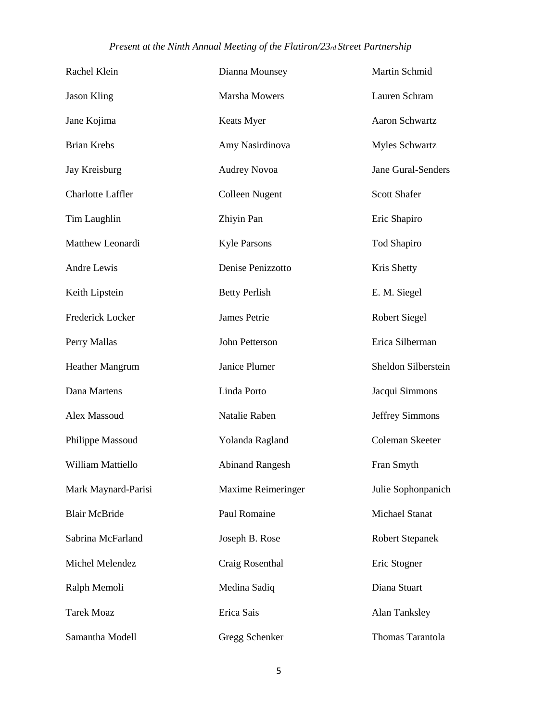# *Present at the Ninth Annual Meeting of the Flatiron/23rd Street Partnership*

| Rachel Klein             | Dianna Mounsey         | Martin Schmid          |
|--------------------------|------------------------|------------------------|
| <b>Jason Kling</b>       | <b>Marsha Mowers</b>   | Lauren Schram          |
| Jane Kojima              | Keats Myer             | Aaron Schwartz         |
| <b>Brian Krebs</b>       | Amy Nasirdinova        | <b>Myles Schwartz</b>  |
| Jay Kreisburg            | <b>Audrey Novoa</b>    | Jane Gural-Senders     |
| <b>Charlotte Laffler</b> | <b>Colleen Nugent</b>  | <b>Scott Shafer</b>    |
| Tim Laughlin             | Zhiyin Pan             | Eric Shapiro           |
| Matthew Leonardi         | <b>Kyle Parsons</b>    | Tod Shapiro            |
| Andre Lewis              | Denise Penizzotto      | Kris Shetty            |
| Keith Lipstein           | <b>Betty Perlish</b>   | E. M. Siegel           |
| Frederick Locker         | James Petrie           | <b>Robert Siegel</b>   |
| Perry Mallas             | John Petterson         | Erica Silberman        |
| Heather Mangrum          | Janice Plumer          | Sheldon Silberstein    |
| Dana Martens             | Linda Porto            | Jacqui Simmons         |
| Alex Massoud             | Natalie Raben          | Jeffrey Simmons        |
| Philippe Massoud         | Yolanda Ragland        | Coleman Skeeter        |
| William Mattiello        | <b>Abinand Rangesh</b> | Fran Smyth             |
| Mark Maynard-Parisi      | Maxime Reimeringer     | Julie Sophonpanich     |
| <b>Blair McBride</b>     | Paul Romaine           | <b>Michael Stanat</b>  |
| Sabrina McFarland        | Joseph B. Rose         | <b>Robert Stepanek</b> |
| Michel Melendez          | Craig Rosenthal        | Eric Stogner           |
| Ralph Memoli             | Medina Sadiq           | Diana Stuart           |
| <b>Tarek Moaz</b>        | Erica Sais             | Alan Tanksley          |
| Samantha Modell          | Gregg Schenker         | Thomas Tarantola       |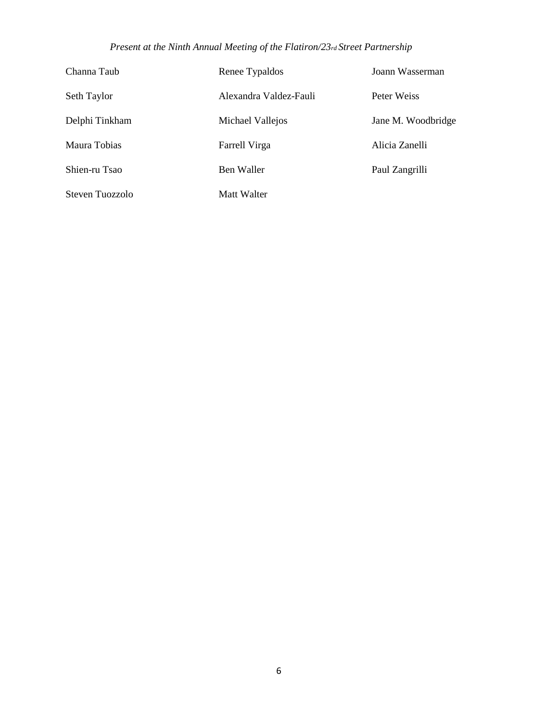# *Present at the Ninth Annual Meeting of the Flatiron/23rd Street Partnership*

| Channa Taub     | Renee Typaldos         | Joann Wasserman    |
|-----------------|------------------------|--------------------|
| Seth Taylor     | Alexandra Valdez-Fauli | Peter Weiss        |
| Delphi Tinkham  | Michael Vallejos       | Jane M. Woodbridge |
| Maura Tobias    | Farrell Virga          | Alicia Zanelli     |
| Shien-ru Tsao   | Ben Waller             | Paul Zangrilli     |
| Steven Tuozzolo | Matt Walter            |                    |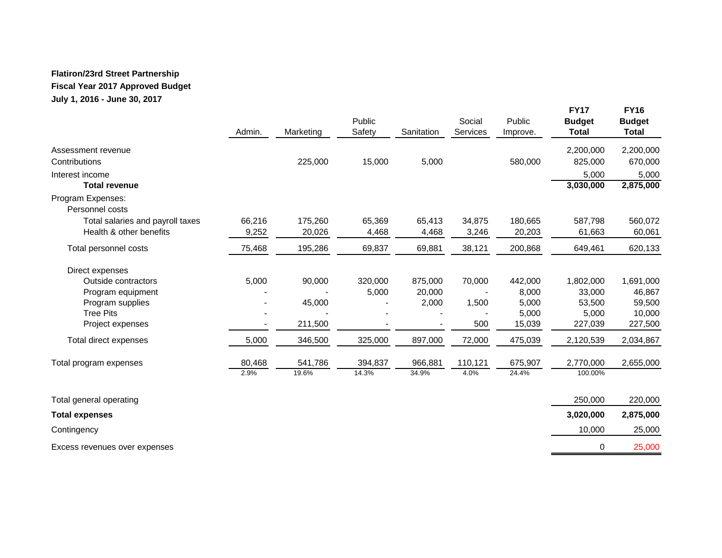### **Flatiron/23rd Street Partnership**

### **Fiscal Year 2017 Approved Budget**

**July 1, 2016 - June 30, 2017**

|                                      | Admin. | Marketing | Public<br>Safety | Sanitation | Social<br>Services | Public<br>Improve. | <b>FY17</b><br><b>Budget</b><br><b>Total</b> | <b>FY16</b><br><b>Budget</b><br><b>Total</b> |
|--------------------------------------|--------|-----------|------------------|------------|--------------------|--------------------|----------------------------------------------|----------------------------------------------|
| Assessment revenue                   |        |           |                  |            |                    |                    | 2,200,000                                    | 2,200,000                                    |
| Contributions                        |        | 225,000   | 15,000           | 5,000      |                    | 580,000            | 825,000                                      | 670,000                                      |
| Interest income                      |        |           |                  |            |                    |                    | 5,000                                        | 5,000                                        |
| <b>Total revenue</b>                 |        |           |                  |            |                    |                    | 3,030,000                                    | 2,875,000                                    |
| Program Expenses:<br>Personnel costs |        |           |                  |            |                    |                    |                                              |                                              |
| Total salaries and payroll taxes     | 66,216 | 175,260   | 65,369           | 65,413     | 34,875             | 180,665            | 587,798                                      | 560,072                                      |
| Health & other benefits              | 9,252  | 20,026    | 4,468            | 4,468      | 3,246              | 20,203             | 61,663                                       | 60,061                                       |
| Total personnel costs                | 75,468 | 195,286   | 69,837           | 69,881     | 38,121             | 200,868            | 649,461                                      | 620,133                                      |
| Direct expenses                      |        |           |                  |            |                    |                    |                                              |                                              |
| Outside contractors                  | 5,000  | 90,000    | 320,000          | 875,000    | 70,000             | 442,000            | 1,802,000                                    | 1,691,000                                    |
| Program equipment                    |        |           | 5,000            | 20,000     |                    | 8,000              | 33,000                                       | 46,867                                       |
| Program supplies                     |        | 45,000    |                  | 2,000      | 1,500              | 5,000              | 53,500                                       | 59,500                                       |
| <b>Tree Pits</b>                     |        |           |                  |            |                    | 5,000              | 5,000                                        | 10,000                                       |
| Project expenses                     |        | 211,500   |                  |            | 500                | 15,039             | 227,039                                      | 227,500                                      |
| Total direct expenses                | 5,000  | 346,500   | 325,000          | 897,000    | 72,000             | 475,039            | 2,120,539                                    | 2,034,867                                    |
| Total program expenses               | 80,468 | 541,786   | 394,837          | 966,881    | 110,121            | 675,907            | 2,770,000                                    | 2,655,000                                    |
|                                      | 2.9%   | 19.6%     | 14.3%            | 34.9%      | 4.0%               | 24.4%              | 100.00%                                      |                                              |
| Total general operating              |        |           |                  |            |                    |                    | 250,000                                      | 220,000                                      |
| <b>Total expenses</b>                |        |           |                  |            |                    |                    | 3,020,000                                    | 2,875,000                                    |
| Contingency                          |        |           |                  |            |                    |                    | 10,000                                       | 25,000                                       |
| Excess revenues over expenses        |        |           |                  |            |                    |                    | $\mathbf 0$                                  | 25,000                                       |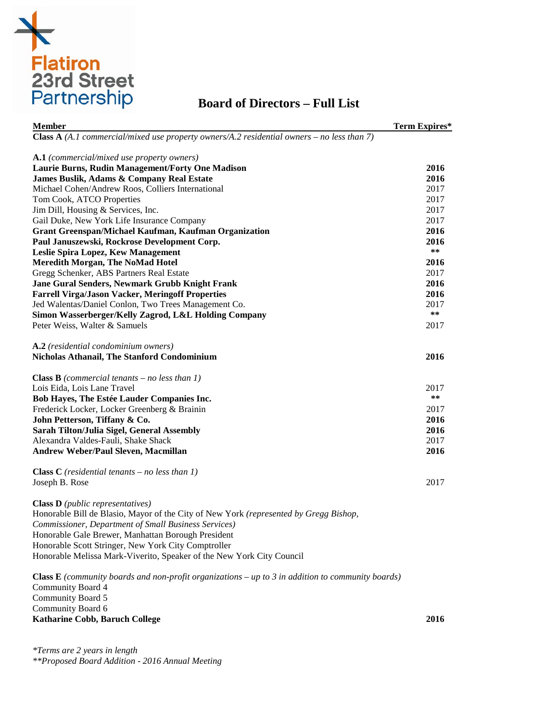

# **Board of Directors – Full List**

| <b>Member</b>                                                                                            | Term Expires* |
|----------------------------------------------------------------------------------------------------------|---------------|
| Class $A(A.1$ commercial/mixed use property owners/A.2 residential owners – no less than 7)              |               |
|                                                                                                          |               |
| A.1 (commercial/mixed use property owners)<br>Laurie Burns, Rudin Management/Forty One Madison           | 2016          |
| James Buslik, Adams & Company Real Estate                                                                | 2016          |
| Michael Cohen/Andrew Roos, Colliers International                                                        | 2017          |
| Tom Cook, ATCO Properties                                                                                | 2017          |
| Jim Dill, Housing & Services, Inc.                                                                       | 2017          |
| Gail Duke, New York Life Insurance Company                                                               | 2017          |
| <b>Grant Greenspan/Michael Kaufman, Kaufman Organization</b>                                             | 2016          |
| Paul Januszewski, Rockrose Development Corp.                                                             | 2016          |
| Leslie Spira Lopez, Kew Management                                                                       | **            |
| <b>Meredith Morgan, The NoMad Hotel</b>                                                                  | 2016          |
| Gregg Schenker, ABS Partners Real Estate                                                                 | 2017          |
| <b>Jane Gural Senders, Newmark Grubb Knight Frank</b>                                                    | 2016          |
| <b>Farrell Virga/Jason Vacker, Meringoff Properties</b>                                                  | 2016          |
| Jed Walentas/Daniel Conlon, Two Trees Management Co.                                                     | 2017          |
|                                                                                                          | $***$         |
| Simon Wasserberger/Kelly Zagrod, L&L Holding Company                                                     |               |
| Peter Weiss, Walter & Samuels                                                                            | 2017          |
| A.2 (residential condominium owners)                                                                     |               |
| <b>Nicholas Athanail, The Stanford Condominium</b>                                                       | 2016          |
| <b>Class B</b> (commercial tenants – no less than 1)                                                     |               |
| Lois Eida, Lois Lane Travel                                                                              | 2017          |
| Bob Hayes, The Estée Lauder Companies Inc.                                                               | **            |
| Frederick Locker, Locker Greenberg & Brainin                                                             | 2017          |
| John Petterson, Tiffany & Co.                                                                            | 2016          |
| Sarah Tilton/Julia Sigel, General Assembly                                                               | 2016          |
| Alexandra Valdes-Fauli, Shake Shack                                                                      | 2017          |
| Andrew Weber/Paul Sleven, Macmillan                                                                      | 2016          |
|                                                                                                          |               |
| <b>Class C</b> (residential tenants – no less than 1)                                                    |               |
| Joseph B. Rose                                                                                           | 2017          |
| <b>Class D</b> ( <i>public representatives</i> )                                                         |               |
| Honorable Bill de Blasio, Mayor of the City of New York (represented by Gregg Bishop,                    |               |
| <b>Commissioner, Department of Small Business Services)</b>                                              |               |
| Honorable Gale Brewer, Manhattan Borough President                                                       |               |
| Honorable Scott Stringer, New York City Comptroller                                                      |               |
| Honorable Melissa Mark-Viverito, Speaker of the New York City Council                                    |               |
|                                                                                                          |               |
| <b>Class E</b> (community boards and non-profit organizations – up to 3 in addition to community boards) |               |
| Community Board 4                                                                                        |               |
| Community Board 5                                                                                        |               |
|                                                                                                          |               |

Community Board 6 **Katharine Cobb, Baruch College 2016**

*\*Terms are 2 years in length \*\*Proposed Board Addition - 2016 Annual Meeting*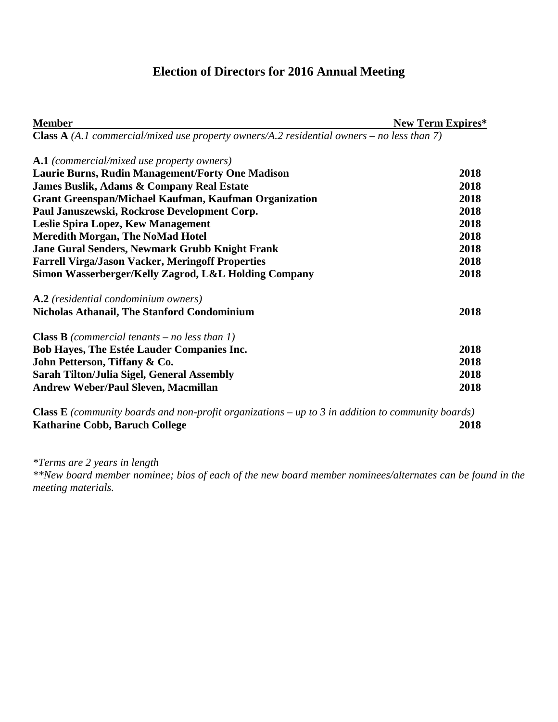# **Election of Directors for 2016 Annual Meeting**

| <b>Member</b>                                                                                     | <b>New Term Expires*</b> |
|---------------------------------------------------------------------------------------------------|--------------------------|
| <b>Class A</b> (A.1 commercial/mixed use property owners/A.2 residential owners – no less than 7) |                          |
| <b>A.1</b> (commercial/mixed use property owners)                                                 |                          |
| Laurie Burns, Rudin Management/Forty One Madison                                                  | 2018                     |
| <b>James Buslik, Adams &amp; Company Real Estate</b>                                              | 2018                     |
| <b>Grant Greenspan/Michael Kaufman, Kaufman Organization</b>                                      | 2018                     |
| Paul Januszewski, Rockrose Development Corp.                                                      | 2018                     |
| Leslie Spira Lopez, Kew Management                                                                | 2018                     |
| <b>Meredith Morgan, The NoMad Hotel</b>                                                           | 2018                     |
| <b>Jane Gural Senders, Newmark Grubb Knight Frank</b>                                             | 2018                     |
| <b>Farrell Virga/Jason Vacker, Meringoff Properties</b>                                           | 2018                     |
| Simon Wasserberger/Kelly Zagrod, L&L Holding Company                                              | 2018                     |
| A.2 (residential condominium owners)                                                              |                          |
| <b>Nicholas Athanail, The Stanford Condominium</b>                                                | 2018                     |
| <b>Class B</b> (commercial tenants – no less than 1)                                              |                          |
| <b>Bob Hayes, The Estée Lauder Companies Inc.</b>                                                 | 2018                     |
| John Petterson, Tiffany & Co.                                                                     | 2018                     |
| <b>Sarah Tilton/Julia Sigel, General Assembly</b>                                                 | 2018                     |
| <b>Andrew Weber/Paul Sleven, Macmillan</b>                                                        | 2018                     |
|                                                                                                   |                          |

**Class E** *(community boards and non-profit organizations – up to 3 in addition to community boards)*  **Katharine Cobb, Baruch College 2018**

*\*Terms are 2 years in length* 

*\*\*New board member nominee; bios of each of the new board member nominees/alternates can be found in the meeting materials.*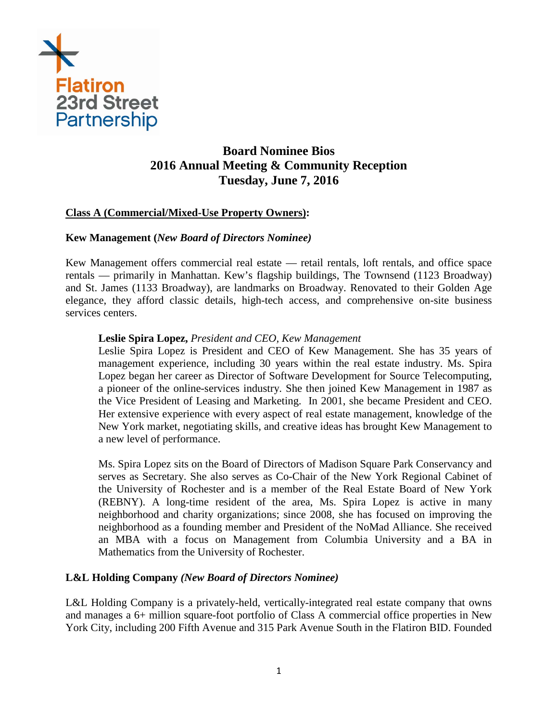

# **Board Nominee Bios 2016 Annual Meeting & Community Reception Tuesday, June 7, 2016**

# **Class A (Commercial/Mixed-Use Property Owners):**

### **Kew Management (***New Board of Directors Nominee)*

Kew Management offers commercial real estate — retail rentals, loft rentals, and office space rentals — primarily in Manhattan. Kew's flagship buildings, The Townsend (1123 Broadway) and St. James (1133 Broadway), are landmarks on Broadway. Renovated to their Golden Age elegance, they afford classic details, high-tech access, and comprehensive on-site business services centers.

### **Leslie Spira Lopez,** *President and CEO, Kew Management*

Leslie Spira Lopez is President and CEO of Kew Management. She has 35 years of management experience, including 30 years within the real estate industry. Ms. Spira Lopez began her career as Director of Software Development for Source Telecomputing, a pioneer of the online-services industry. She then joined Kew Management in 1987 as the Vice President of Leasing and Marketing. In 2001, she became President and CEO. Her extensive experience with every aspect of real estate management, knowledge of the New York market, negotiating skills, and creative ideas has brought Kew Management to a new level of performance.

Ms. Spira Lopez sits on the Board of Directors of Madison Square Park Conservancy and serves as Secretary. She also serves as Co-Chair of the New York Regional Cabinet of the University of Rochester and is a member of the Real Estate Board of New York (REBNY). A long-time resident of the area, Ms. Spira Lopez is active in many neighborhood and charity organizations; since 2008, she has focused on improving the neighborhood as a founding member and President of the NoMad Alliance. She received an MBA with a focus on Management from Columbia University and a BA in Mathematics from the University of Rochester.

### **L&L Holding Company** *(New Board of Directors Nominee)*

L&L Holding Company is a privately-held, vertically-integrated real estate company that owns and manages a 6+ million square-foot portfolio of Class A commercial office properties in New York City, including 200 Fifth Avenue and 315 Park Avenue South in the Flatiron BID. Founded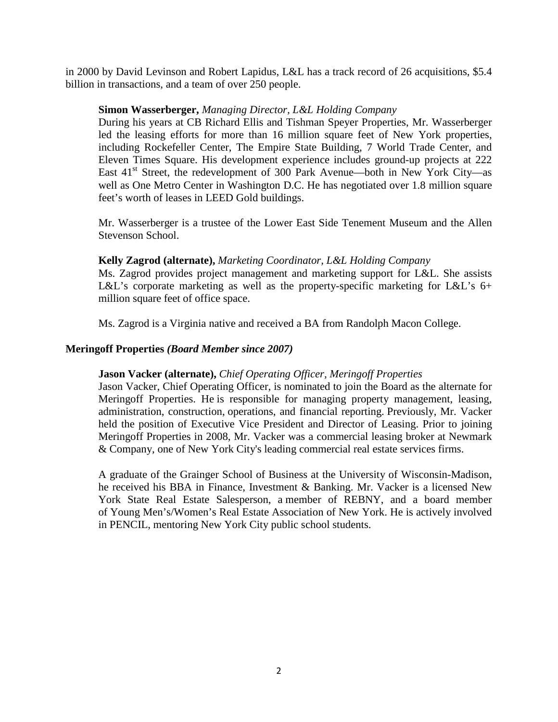in 2000 by David Levinson and Robert Lapidus, L&L has a track record of 26 acquisitions, \$5.4 billion in transactions, and a team of over 250 people.

### **Simon Wasserberger,** *Managing Director, L&L Holding Company*

During his years at CB Richard Ellis and Tishman Speyer Properties, Mr. Wasserberger led the leasing efforts for more than 16 million square feet of New York properties, including Rockefeller Center, The Empire State Building, 7 World Trade Center, and Eleven Times Square. His development experience includes ground-up projects at 222 East  $41<sup>st</sup>$  Street, the redevelopment of 300 Park Avenue—both in New York City—as well as One Metro Center in Washington D.C. He has negotiated over 1.8 million square feet's worth of leases in LEED Gold buildings.

Mr. Wasserberger is a trustee of the Lower East Side Tenement Museum and the Allen Stevenson School.

### **Kelly Zagrod (alternate),** *Marketing Coordinator, L&L Holding Company*

Ms. Zagrod provides project management and marketing support for L&L. She assists L&L's corporate marketing as well as the property-specific marketing for L&L's 6+ million square feet of office space.

Ms. Zagrod is a Virginia native and received a BA from Randolph Macon College.

### **Meringoff Properties** *(Board Member since 2007)*

### **Jason Vacker (alternate),** *Chief Operating Officer, Meringoff Properties*

Jason Vacker, Chief Operating Officer, is nominated to join the Board as the alternate for Meringoff Properties. He is responsible for managing property management, leasing, administration, construction, operations, and financial reporting. Previously, Mr. Vacker held the position of Executive Vice President and Director of Leasing. Prior to joining Meringoff Properties in 2008, Mr. Vacker was a commercial leasing broker at Newmark & Company, one of New York City's leading commercial real estate services firms.

A graduate of the Grainger School of Business at the University of Wisconsin-Madison, he received his BBA in Finance, Investment & Banking. Mr. Vacker is a licensed New York State Real Estate Salesperson, a member of REBNY, and a board member of Young Men's/Women's Real Estate Association of New York. He is actively involved in PENCIL, mentoring New York City public school students.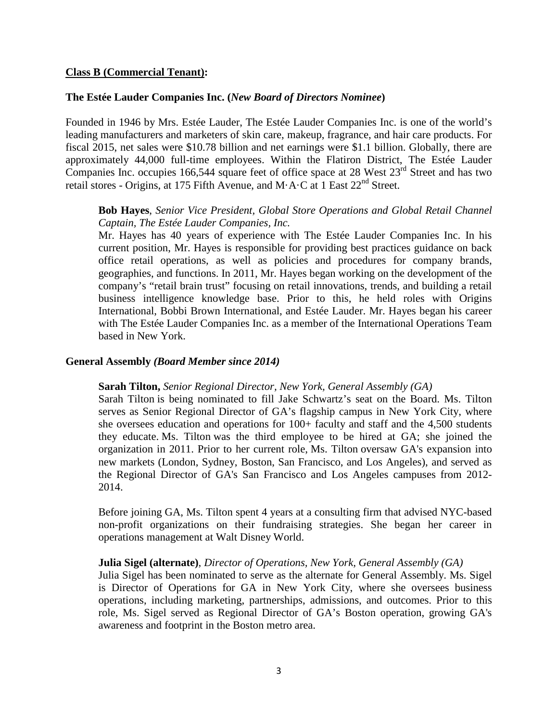### **Class B (Commercial Tenant):**

### **The Estée Lauder Companies Inc. (***New Board of Directors Nominee***)**

Founded in 1946 by Mrs. Estée Lauder, The Estée Lauder Companies Inc. is one of the world's leading manufacturers and marketers of skin care, makeup, fragrance, and hair care products. For fiscal 2015, net sales were \$10.78 billion and net earnings were \$1.1 billion. Globally, there are approximately 44,000 full-time employees. Within the Flatiron District, The Estée Lauder Companies Inc. occupies 166,544 square feet of office space at 28 West 23<sup>rd</sup> Street and has two retail stores - Origins, at 175 Fifth Avenue, and M $\cdot$ A $\cdot$ C at 1 East 22<sup>nd</sup> Street.

### **Bob Hayes**, *Senior Vice President, Global Store Operations and Global Retail Channel Captain, The Estée Lauder Companies, Inc.*

Mr. Hayes has 40 years of experience with The Estée Lauder Companies Inc. In his current position, Mr. Hayes is responsible for providing best practices guidance on back office retail operations, as well as policies and procedures for company brands, geographies, and functions. In 2011, Mr. Hayes began working on the development of the company's "retail brain trust" focusing on retail innovations, trends, and building a retail business intelligence knowledge base. Prior to this, he held roles with Origins International, Bobbi Brown International, and Estée Lauder. Mr. Hayes began his career with The Estée Lauder Companies Inc. as a member of the International Operations Team based in New York.

#### **General Assembly** *(Board Member since 2014)*

#### **Sarah Tilton,** *Senior Regional Director, New York, General Assembly (GA)*

Sarah Tilton is being nominated to fill Jake Schwartz's seat on the Board. Ms. Tilton serves as Senior Regional Director of GA's flagship campus in New York City, where she oversees education and operations for  $100+$  faculty and staff and the 4,500 students they educate. Ms. Tilton was the third employee to be hired at GA; she joined the organization in 2011. Prior to her current role, Ms. Tilton oversaw GA's expansion into new markets (London, Sydney, Boston, San Francisco, and Los Angeles), and served as the Regional Director of GA's San Francisco and Los Angeles campuses from 2012- 2014.

Before joining GA, Ms. Tilton spent 4 years at a consulting firm that advised NYC-based non-profit organizations on their fundraising strategies. She began her career in operations management at Walt Disney World.

#### **Julia Sigel (alternate)**, *Director of Operations, New York, General Assembly (GA)*

Julia Sigel has been nominated to serve as the alternate for General Assembly. Ms. Sigel is Director of Operations for GA in New York City, where she oversees business operations, including marketing, partnerships, admissions, and outcomes. Prior to this role, Ms. Sigel served as Regional Director of GA's Boston operation, growing GA's awareness and footprint in the Boston metro area.